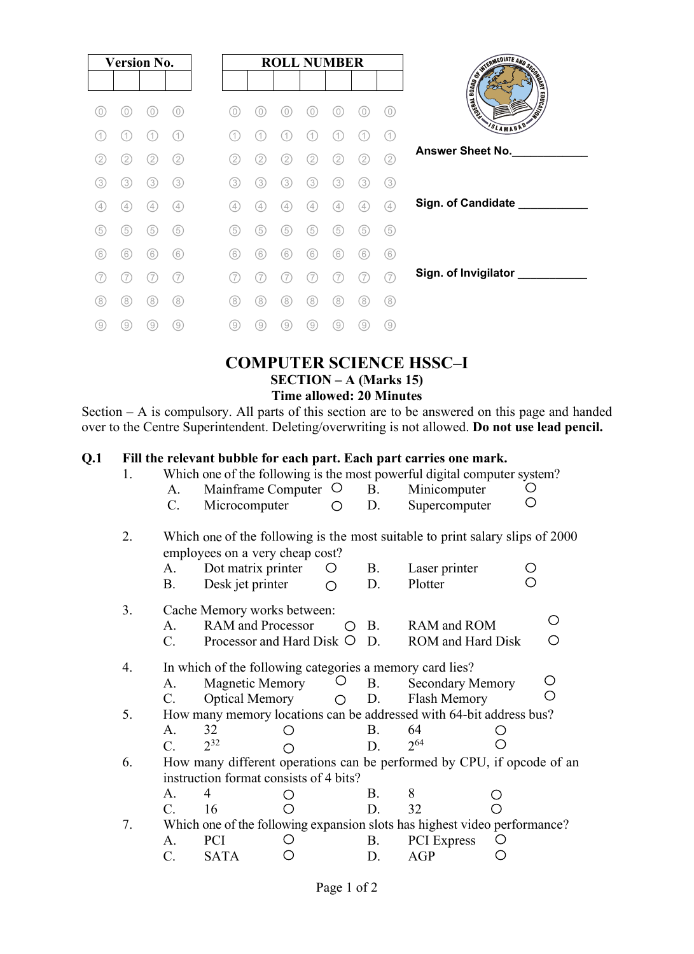

## **COMPUTER SCIENCE HSSC–I SECTION – A (Marks 15) Time allowed: 20 Minutes**

Section – A is compulsory. All parts of this section are to be answered on this page and handed over to the Centre Superintendent. Deleting/overwriting is not allowed. **Do not use lead pencil.**

## **Q.1 Fill the relevant bubble for each part. Each part carries one mark.**

| 1. |             | Which one of the following is the most powerful digital computer system?                                         |         |           |                          |   |
|----|-------------|------------------------------------------------------------------------------------------------------------------|---------|-----------|--------------------------|---|
|    | A.          | Mainframe Computer $\circ$                                                                                       |         | <b>B.</b> | Minicomputer             |   |
|    | $C$ .       | Microcomputer                                                                                                    | ◯       | D.        | Supercomputer            |   |
| 2. |             | Which one of the following is the most suitable to print salary slips of 2000<br>employees on a very cheap cost? |         |           |                          |   |
|    | A.          | Dot matrix printer                                                                                               | $\circ$ | <b>B.</b> | Laser printer            |   |
|    | В.          | Desk jet printer                                                                                                 | ∩       | D.        | Plotter                  |   |
| 3. |             | Cache Memory works between:                                                                                      |         |           |                          |   |
|    | A.          | <b>RAM</b> and Processor                                                                                         |         | B.        | RAM and ROM              | O |
|    | C.          | Processor and Hard Disk $\circ$                                                                                  |         | D.        | <b>ROM</b> and Hard Disk | О |
| 4. |             | In which of the following categories a memory card lies?                                                         |         |           |                          |   |
|    | A.          | Magnetic Memory                                                                                                  |         | <b>B.</b> | <b>Secondary Memory</b>  | O |
|    | $C_{\cdot}$ | <b>Optical Memory</b>                                                                                            | ⌒       | D.        | Flash Memory             | ⌒ |
| 5. |             | How many memory locations can be addressed with 64-bit address bus?                                              |         |           |                          |   |
|    | A.          | 32                                                                                                               |         | B.        | 64                       |   |
|    | $C_{\cdot}$ | $2^{32}$                                                                                                         |         | D.        | $2^{64}$                 |   |
| 6. |             | How many different operations can be performed by CPU, if opcode of an                                           |         |           |                          |   |
|    |             | instruction format consists of 4 bits?                                                                           |         |           |                          |   |
|    | А.          | 4                                                                                                                |         | B.        | 8                        |   |
|    | C.          | 16                                                                                                               |         | D.        | 32                       |   |
| 7. |             | Which one of the following expansion slots has highest video performance?                                        |         |           |                          |   |
|    | A.          | PCI                                                                                                              |         | <b>B.</b> | <b>PCI</b> Express       |   |
|    | C.          | <b>SATA</b>                                                                                                      |         | D.        | AGP                      |   |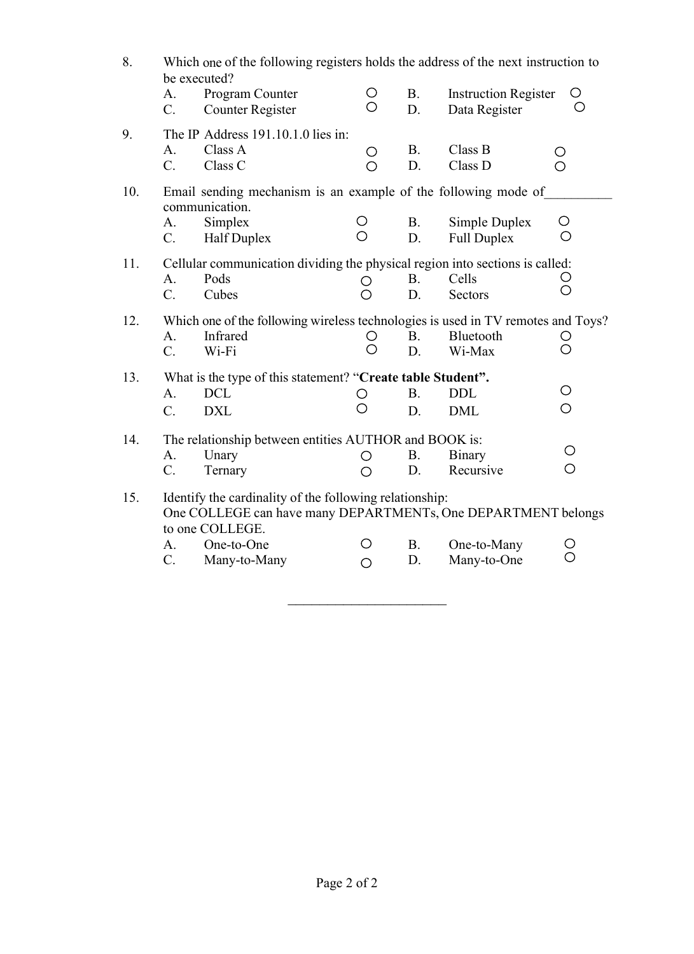| 8.  | Which one of the following registers holds the address of the next instruction to<br>be executed? |                                                                                              |                    |           |                             |                   |  |  |
|-----|---------------------------------------------------------------------------------------------------|----------------------------------------------------------------------------------------------|--------------------|-----------|-----------------------------|-------------------|--|--|
|     | A.                                                                                                | Program Counter                                                                              | O                  | <b>B.</b> | <b>Instruction Register</b> | O                 |  |  |
|     | C.                                                                                                | <b>Counter Register</b>                                                                      | O                  | D.        | Data Register               | $\left(\ \right)$ |  |  |
| 9.  |                                                                                                   | The IP Address 191.10.1.0 lies in:                                                           |                    |           |                             |                   |  |  |
|     | A.                                                                                                | Class A                                                                                      | $\bigcirc$         | <b>B.</b> | Class B                     | O                 |  |  |
|     | C.                                                                                                | Class C                                                                                      | O                  | D.        | Class D                     | O                 |  |  |
|     |                                                                                                   |                                                                                              |                    |           |                             |                   |  |  |
| 10. |                                                                                                   | Email sending mechanism is an example of the following mode of<br>communication.             |                    |           |                             |                   |  |  |
|     | A.                                                                                                | Simplex                                                                                      | O                  | <b>B.</b> | Simple Duplex               | O                 |  |  |
|     | C.                                                                                                | Half Duplex                                                                                  | O                  | D.        | Full Duplex                 | О                 |  |  |
| 11. |                                                                                                   | Cellular communication dividing the physical region into sections is called:                 |                    |           |                             |                   |  |  |
|     | A.                                                                                                | Pods                                                                                         | O                  | <b>B.</b> | Cells                       |                   |  |  |
|     | $\mathcal{C}$ .                                                                                   | Cubes                                                                                        | ◯                  | D.        | Sectors                     | O                 |  |  |
| 12. |                                                                                                   |                                                                                              |                    |           |                             |                   |  |  |
|     | A.                                                                                                | Which one of the following wireless technologies is used in TV remotes and Toys?<br>Infrared | O                  | <b>B.</b> | Bluetooth                   | O                 |  |  |
|     | $C_{\cdot}$                                                                                       | Wi-Fi                                                                                        | O                  | D.        | Wi-Max                      | О                 |  |  |
| 13. |                                                                                                   | What is the type of this statement? "Create table Student".                                  |                    |           |                             |                   |  |  |
|     | A.                                                                                                | <b>DCL</b>                                                                                   | О                  | <b>B.</b> | <b>DDL</b>                  | O                 |  |  |
|     | $\overline{C}$ .                                                                                  | <b>DXL</b>                                                                                   | ∩                  | D.        | <b>DML</b>                  | $\bigcirc$        |  |  |
|     |                                                                                                   |                                                                                              |                    |           |                             |                   |  |  |
| 14. |                                                                                                   | The relationship between entities AUTHOR and BOOK is:                                        |                    |           |                             | O                 |  |  |
|     | A.                                                                                                | Unary                                                                                        | O                  | <b>B.</b> | <b>Binary</b>               | $\bigcirc$        |  |  |
|     | C.                                                                                                | Ternary                                                                                      | $\bigcirc$         | D.        | Recursive                   |                   |  |  |
| 15. |                                                                                                   | Identify the cardinality of the following relationship:                                      |                    |           |                             |                   |  |  |
|     |                                                                                                   | One COLLEGE can have many DEPARTMENTs, One DEPARTMENT belongs                                |                    |           |                             |                   |  |  |
|     |                                                                                                   | to one COLLEGE.                                                                              |                    |           |                             |                   |  |  |
|     | A.<br>C.                                                                                          | One-to-One                                                                                   | $\left( \ \right)$ | <b>B.</b> | One-to-Many                 | O<br>$\bigcirc$   |  |  |
|     |                                                                                                   | Many-to-Many                                                                                 | O                  | D.        | Many-to-One                 |                   |  |  |

 $\mathcal{L}=\mathcal{L}=\mathcal{L}=\mathcal{L}=\mathcal{L}=\mathcal{L}=\mathcal{L}=\mathcal{L}=\mathcal{L}=\mathcal{L}=\mathcal{L}=\mathcal{L}=\mathcal{L}=\mathcal{L}=\mathcal{L}=\mathcal{L}=\mathcal{L}=\mathcal{L}=\mathcal{L}=\mathcal{L}=\mathcal{L}=\mathcal{L}=\mathcal{L}=\mathcal{L}=\mathcal{L}=\mathcal{L}=\mathcal{L}=\mathcal{L}=\mathcal{L}=\mathcal{L}=\mathcal{L}=\mathcal{L}=\mathcal{L}=\mathcal{L}=\mathcal{L}=\mathcal{L}=\mathcal{$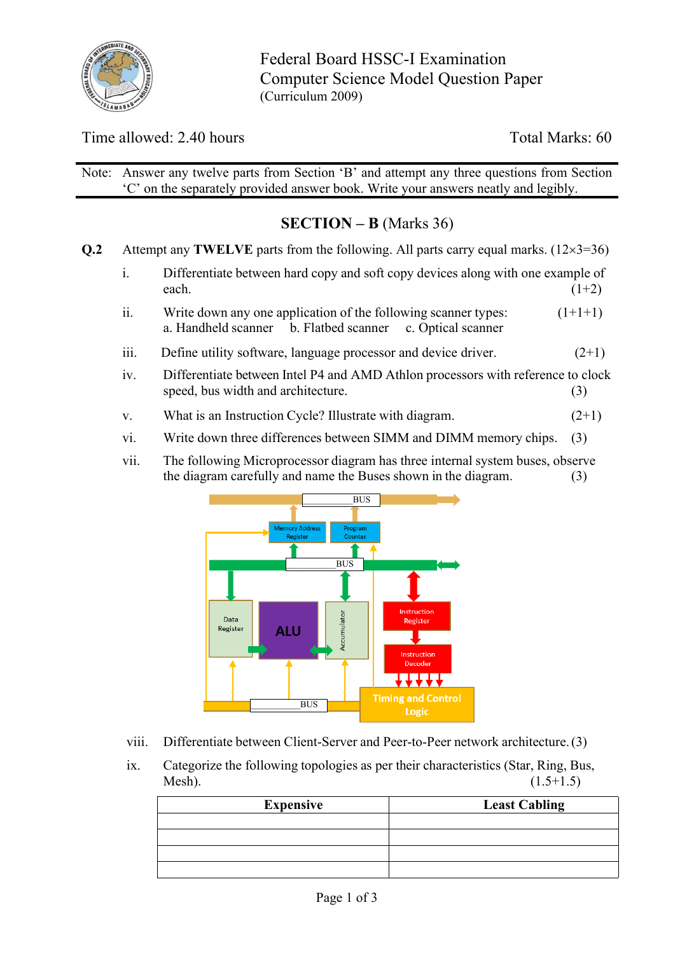

Federal Board HSSC-I Examination Computer Science Model Question Paper (Curriculum 2009)

Time allowed: 2.40 hours Total Marks: 60

Note: Answer any twelve parts from Section 'B' and attempt any three questions from Section 'C' on the separately provided answer book. Write your answers neatly and legibly.

# **SECTION – B** (Marks 36)

**Q.2** Attempt any **TWELVE** parts from the following. All parts carry equal marks.  $(12 \times 3 = 36)$ 

- i. Differentiate between hard copy and soft copy devices along with one example of each.  $(1+2)$
- ii. Write down any one application of the following scanner types:  $(1+1+1)$ a. Handheld scanner b. Flatbed scanner c. Optical scanner
- iii. Define utility software, language processor and device driver.  $(2+1)$
- iv. Differentiate between Intel P4 and AMD Athlon processors with reference to clock speed, bus width and architecture. (3)
- v. What is an Instruction Cycle? Illustrate with diagram.  $(2+1)$
- vi. Write down three differences between SIMM and DIMM memory chips. (3)
- vii. The following Microprocessor diagram has three internal system buses, observe the diagram carefully and name the Buses shown in the diagram. (3)



- viii. Differentiate between Client-Server and Peer-to-Peer network architecture. (3)
- ix. Categorize the following topologies as per their characteristics (Star, Ring, Bus, Mesh).  $(1.5+1.5)$

| <b>Expensive</b> | <b>Least Cabling</b> |
|------------------|----------------------|
|                  |                      |
|                  |                      |
|                  |                      |
|                  |                      |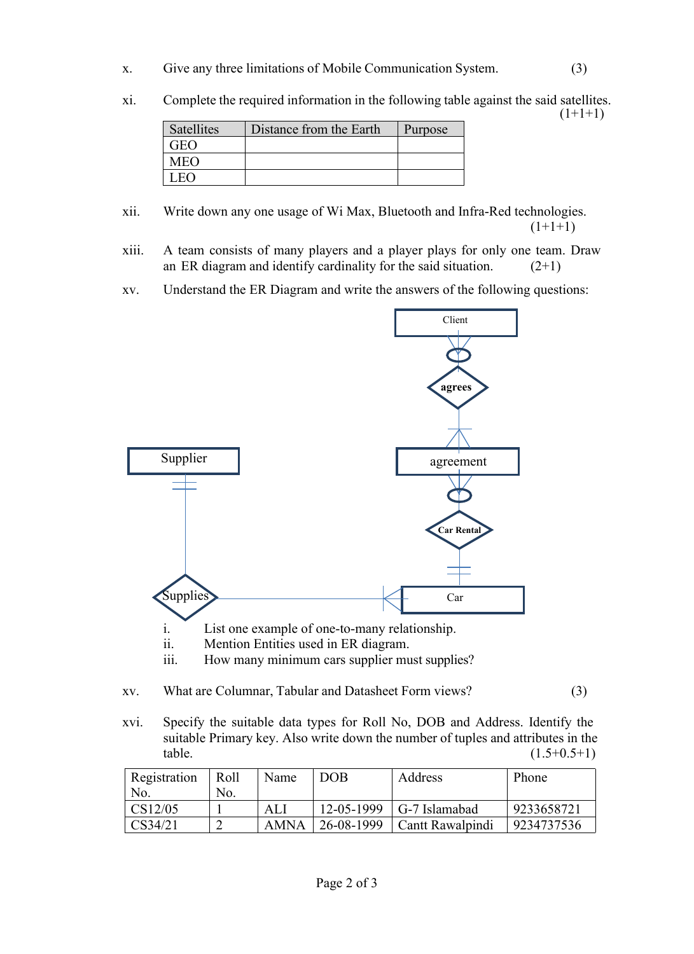- x. Give any three limitations of Mobile Communication System. (3)
- xi. Complete the required information in the following table against the said satellites.

 $(1+1+1)$ 

| <b>Satellites</b> | Distance from the Earth | Purpose |
|-------------------|-------------------------|---------|
| 7EO               |                         |         |
| MEO               |                         |         |
|                   |                         |         |

- xii. Write down any one usage of Wi Max, Bluetooth and Infra-Red technologies.  $(1+1+1)$
- xiii. A team consists of many players and a player plays for only one team. Draw an ER diagram and identify cardinality for the said situation.  $(2+1)$
- xv. Understand the ER Diagram and write the answers of the following questions:



- iii. How many minimum cars supplier must supplies?
- xv. What are Columnar, Tabular and Datasheet Form views? (3)
- xvi. Specify the suitable data types for Roll No, DOB and Address. Identify the suitable Primary key. Also write down the number of tuples and attributes in the  $table.$  (1.5+0.5+1)

| Registration<br>Roll |     | Name | <b>DOB</b> | Address              | Phone      |
|----------------------|-----|------|------------|----------------------|------------|
| No.                  | No. |      |            |                      |            |
| CS12/05              |     | ALI  | 12-05-1999 | $\mid$ G-7 Islamabad | 9233658721 |
| CS34/21              |     | AMNA | 26-08-1999 | Cantt Rawalpindi     | 9234737536 |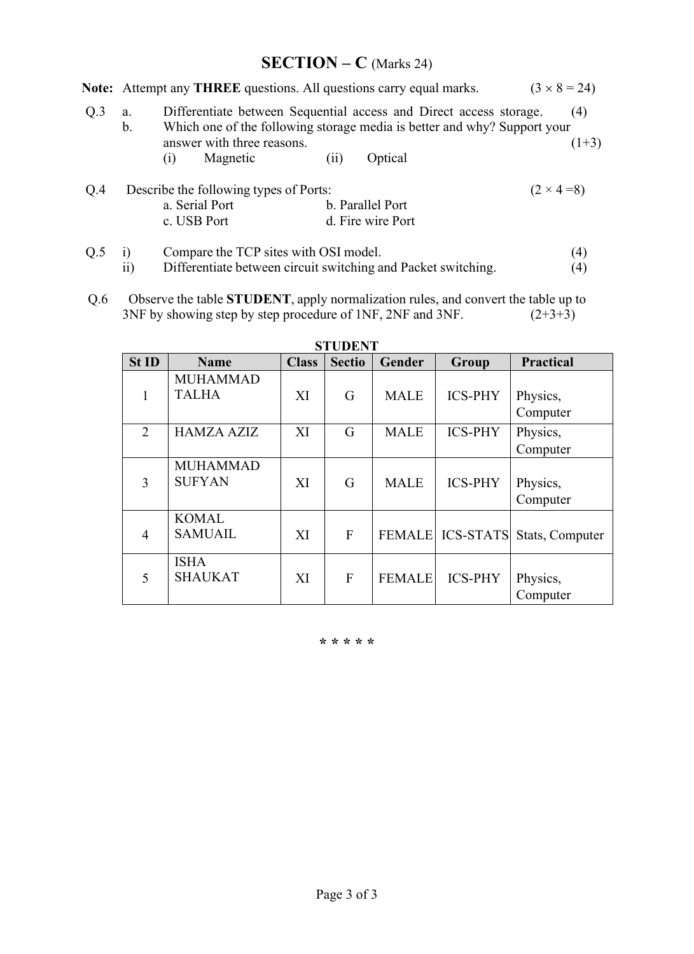# **SECTION – C** (Marks 24)

|     |                                       |                                                                                                                                                |                                        |      | Note: Attempt any THREE questions. All questions carry equal marks. |  | $(3 \times 8 = 24)$ |  |  |
|-----|---------------------------------------|------------------------------------------------------------------------------------------------------------------------------------------------|----------------------------------------|------|---------------------------------------------------------------------|--|---------------------|--|--|
| Q.3 | a.<br>b.                              | Differentiate between Sequential access and Direct access storage.<br>Which one of the following storage media is better and why? Support your | (4)<br>$(1+3)$                         |      |                                                                     |  |                     |  |  |
|     |                                       | (1)                                                                                                                                            | answer with three reasons.<br>Magnetic | (11) | Optical                                                             |  |                     |  |  |
| Q.4 |                                       | Describe the following types of Ports:                                                                                                         |                                        |      |                                                                     |  |                     |  |  |
|     | a. Serial Port<br>b. Parallel Port    |                                                                                                                                                |                                        |      |                                                                     |  |                     |  |  |
|     |                                       |                                                                                                                                                | c. USB Port                            |      | d. Fire wire Port                                                   |  |                     |  |  |
| Q.5 | Compare the TCP sites with OSI model. |                                                                                                                                                |                                        |      |                                                                     |  | (4)                 |  |  |
|     | $\overline{ii}$                       | Differentiate between circuit switching and Packet switching.                                                                                  | $\left(4\right)$                       |      |                                                                     |  |                     |  |  |

Q.6 Observe the table **STUDENT**, apply normalization rules, and convert the table up to 3NF by showing step by step procedure of 1NF, 2NF and 3NF.  $(2+3+3)$ 

| St ID          | <b>Name</b>                      | <b>Class</b> | <b>Sectio</b> | Gender        | Group          | <b>Practical</b>                 |
|----------------|----------------------------------|--------------|---------------|---------------|----------------|----------------------------------|
|                | <b>MUHAMMAD</b><br><b>TALHA</b>  | XI           | G             | <b>MALE</b>   | <b>ICS-PHY</b> | Physics,                         |
| $\overline{2}$ | <b>HAMZA AZIZ</b>                | XI           | G             | <b>MALE</b>   | <b>ICS-PHY</b> | Computer<br>Physics,<br>Computer |
| 3              | <b>MUHAMMAD</b><br><b>SUFYAN</b> | XI           | G             | <b>MALE</b>   | <b>ICS-PHY</b> | Physics,<br>Computer             |
| $\overline{4}$ | <b>KOMAL</b><br><b>SAMUAIL</b>   | XI           | F             |               |                | FEMALE ICS-STATS Stats, Computer |
| 5              | <b>ISHA</b><br><b>SHAUKAT</b>    | XI           | F             | <b>FEMALE</b> | <b>ICS-PHY</b> | Physics,<br>Computer             |

#### **STUDENT**

#### **\* \* \* \* \***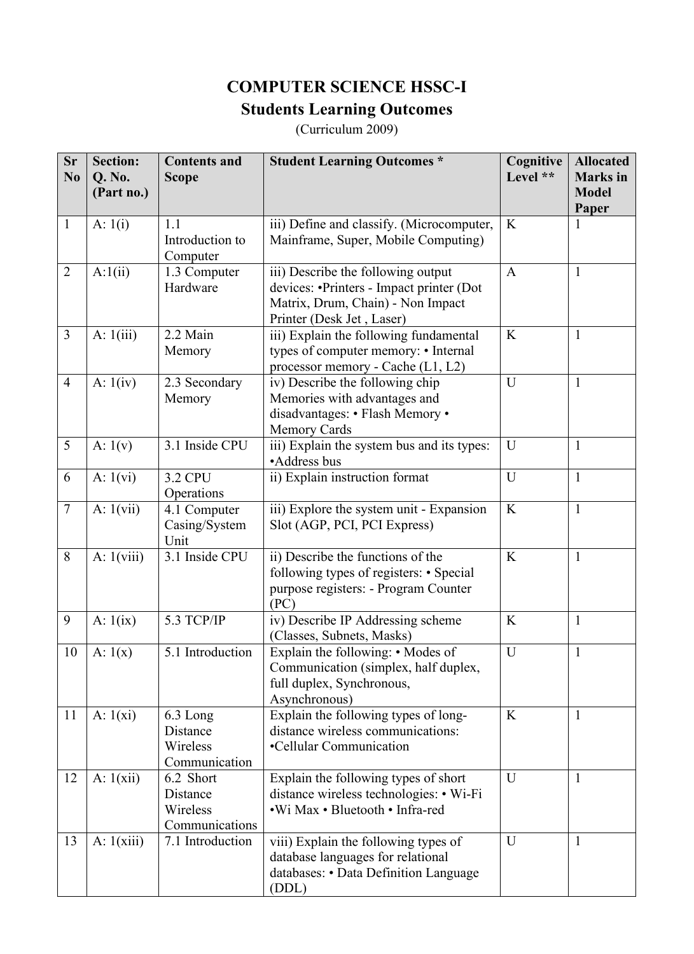# **COMPUTER SCIENCE HSSC-I Students Learning Outcomes**

(Curriculum 2009)

| <b>Sr</b><br>N <sub>0</sub> | <b>Section:</b><br>Q. No.<br>(Part no.) | <b>Contents and</b><br><b>Scope</b>                 | <b>Student Learning Outcomes *</b>                                                                                                               | Cognitive<br>Level ** | <b>Allocated</b><br><b>Marks</b> in<br><b>Model</b><br>Paper |
|-----------------------------|-----------------------------------------|-----------------------------------------------------|--------------------------------------------------------------------------------------------------------------------------------------------------|-----------------------|--------------------------------------------------------------|
| $\mathbf{1}$                | A: $1(i)$                               | 1.1<br>Introduction to<br>Computer                  | iii) Define and classify. (Microcomputer,<br>Mainframe, Super, Mobile Computing)                                                                 | K                     |                                                              |
| $\overline{2}$              | A:1(ii)                                 | 1.3 Computer<br>Hardware                            | iii) Describe the following output<br>devices: •Printers - Impact printer (Dot<br>Matrix, Drum, Chain) - Non Impact<br>Printer (Desk Jet, Laser) | $\mathbf{A}$          | $\mathbf{1}$                                                 |
| $\overline{3}$              | A: $1(iii)$                             | 2.2 Main<br>Memory                                  | iii) Explain the following fundamental<br>types of computer memory: • Internal<br>processor memory - Cache (L1, L2)                              | $\bf K$               | $\mathbf{1}$                                                 |
| $\overline{4}$              | A: $1(iv)$                              | 2.3 Secondary<br>Memory                             | iv) Describe the following chip<br>Memories with advantages and<br>disadvantages: • Flash Memory •<br><b>Memory Cards</b>                        | U                     | $\mathbf{1}$                                                 |
| 5                           | A: $1(v)$                               | 3.1 Inside CPU                                      | iii) Explain the system bus and its types:<br>•Address bus                                                                                       | U                     | $\mathbf{1}$                                                 |
| 6                           | A: $1(vi)$                              | <b>3.2 CPU</b><br>Operations                        | ii) Explain instruction format                                                                                                                   | U                     | $\mathbf{1}$                                                 |
| $\overline{7}$              | A: $1(vii)$                             | 4.1 Computer<br>Casing/System<br>Unit               | iii) Explore the system unit - Expansion<br>Slot (AGP, PCI, PCI Express)                                                                         | K                     | $\mathbf{1}$                                                 |
| 8                           | A: $1(viii)$                            | 3.1 Inside CPU                                      | ii) Describe the functions of the<br>following types of registers: • Special<br>purpose registers: - Program Counter<br>(PC)                     | K                     | $\mathbf{1}$                                                 |
| 9                           | A: $1(ix)$                              | 5.3 TCP/IP                                          | iv) Describe IP Addressing scheme<br>(Classes, Subnets, Masks)                                                                                   | K                     | $\mathbf{1}$                                                 |
| 10                          | A: $1(x)$                               | 5.1 Introduction                                    | Explain the following: • Modes of<br>Communication (simplex, half duplex,<br>full duplex, Synchronous,<br>Asynchronous)                          | U                     | $\mathbf{1}$                                                 |
| 11                          | A: $1(xi)$                              | 6.3 Long<br>Distance<br>Wireless<br>Communication   | Explain the following types of long-<br>distance wireless communications:<br>•Cellular Communication                                             | $\bf K$               | $\mathbf{1}$                                                 |
| 12                          | A: $1(xii)$                             | 6.2 Short<br>Distance<br>Wireless<br>Communications | Explain the following types of short<br>distance wireless technologies: • Wi-Fi<br>.Wi Max . Bluetooth . Infra-red                               | U                     | 1                                                            |
| 13                          | A: $1(xiii)$                            | 7.1 Introduction                                    | viii) Explain the following types of<br>database languages for relational<br>databases: • Data Definition Language<br>(DDL)                      | U                     | 1                                                            |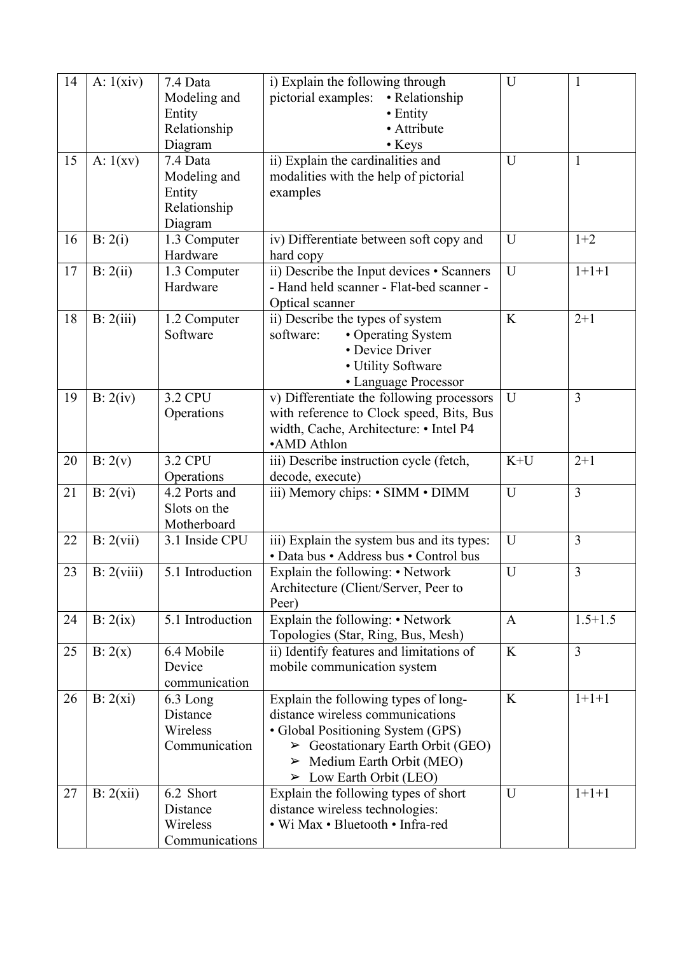| 14 | A: $1(xiv)$ | 7.4 Data<br>Modeling and<br>Entity                  | i) Explain the following through<br>pictorial examples:<br>• Relationship<br>• Entity                                                                                                                                                     | U            | $\mathbf{1}$   |
|----|-------------|-----------------------------------------------------|-------------------------------------------------------------------------------------------------------------------------------------------------------------------------------------------------------------------------------------------|--------------|----------------|
|    |             | Relationship<br>Diagram                             | • Attribute<br>• Keys                                                                                                                                                                                                                     |              |                |
| 15 | A: $1(xv)$  | 7.4 Data                                            | ii) Explain the cardinalities and                                                                                                                                                                                                         | U            | $\mathbf{1}$   |
|    |             | Modeling and<br>Entity<br>Relationship<br>Diagram   | modalities with the help of pictorial<br>examples                                                                                                                                                                                         |              |                |
| 16 | B: 2(i)     | 1.3 Computer<br>Hardware                            | iv) Differentiate between soft copy and<br>hard copy                                                                                                                                                                                      | $\mathbf U$  | $1+2$          |
| 17 | B: 2(ii)    | 1.3 Computer<br>Hardware                            | $\overline{ii}$ ) Describe the Input devices • Scanners<br>- Hand held scanner - Flat-bed scanner -<br>Optical scanner                                                                                                                    | U            | $1+1+1$        |
| 18 | B: 2(iii)   | 1.2 Computer<br>Software                            | ii) Describe the types of system<br>software:<br>• Operating System<br>• Device Driver<br>• Utility Software<br>• Language Processor                                                                                                      | K            | $2 + 1$        |
| 19 | B: 2(iv)    | <b>3.2 CPU</b><br>Operations                        | v) Differentiate the following processors<br>with reference to Clock speed, Bits, Bus<br>width, Cache, Architecture: • Intel P4<br>•AMD Athlon                                                                                            | U            | $\overline{3}$ |
| 20 | B: 2(v)     | <b>3.2 CPU</b><br>Operations                        | iii) Describe instruction cycle (fetch,<br>decode, execute)                                                                                                                                                                               | $K+U$        | $2+1$          |
| 21 | B: 2(vi)    | 4.2 Ports and<br>Slots on the<br>Motherboard        | iii) Memory chips: • SIMM • DIMM                                                                                                                                                                                                          | $\mathbf U$  | $\overline{3}$ |
| 22 | B: 2(vii)   | 3.1 Inside CPU                                      | iii) Explain the system bus and its types:<br>• Data bus • Address bus • Control bus                                                                                                                                                      | U            | $\overline{3}$ |
| 23 | B: 2(viii)  | 5.1 Introduction                                    | Explain the following: • Network<br>Architecture (Client/Server, Peer to<br>Peer)                                                                                                                                                         | U            | $\overline{3}$ |
| 24 | B: 2(ix)    | 5.1 Introduction                                    | Explain the following: • Network<br>Topologies (Star, Ring, Bus, Mesh)                                                                                                                                                                    | $\mathbf{A}$ | $1.5 + 1.5$    |
| 25 | B: 2(x)     | 6.4 Mobile<br>Device<br>communication               | ii) Identify features and limitations of<br>mobile communication system                                                                                                                                                                   | K            | 3              |
| 26 | B: 2(xi)    | 6.3 Long<br>Distance<br>Wireless<br>Communication   | Explain the following types of long-<br>distance wireless communications<br>• Global Positioning System (GPS)<br>$\triangleright$ Geostationary Earth Orbit (GEO)<br>> Medium Earth Orbit (MEO)<br>$\triangleright$ Low Earth Orbit (LEO) | $\bf K$      | $1+1+1$        |
| 27 | B: 2(xii)   | 6.2 Short<br>Distance<br>Wireless<br>Communications | Explain the following types of short<br>distance wireless technologies:<br>• Wi Max • Bluetooth • Infra-red                                                                                                                               | U            | $1+1+1$        |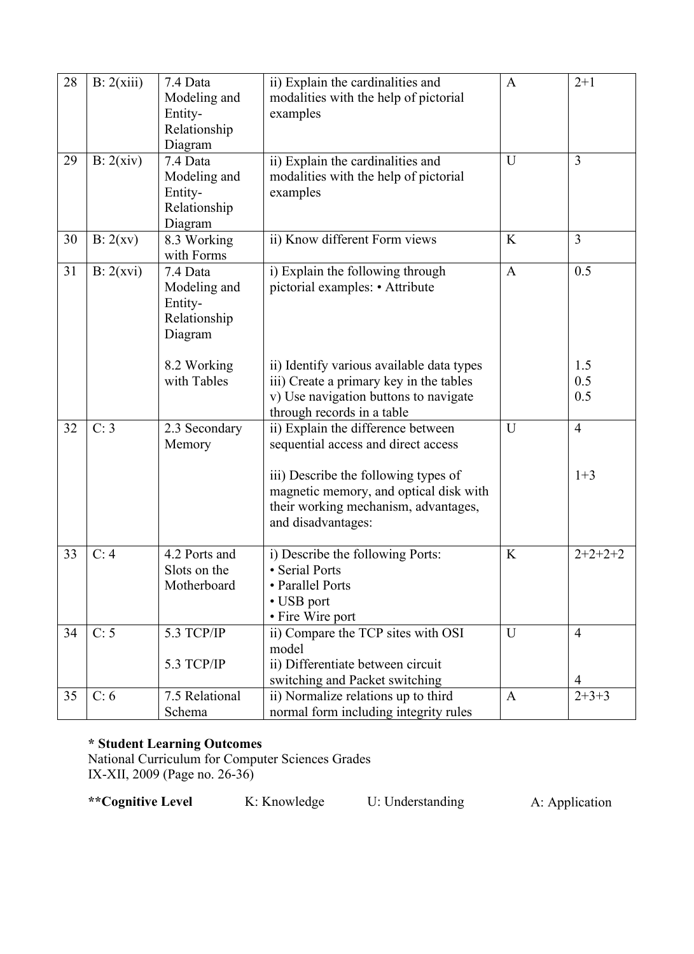| 28 | B: 2(xiii) | 7.4 Data<br>Modeling and<br>Entity-<br>Relationship<br>Diagram | ii) Explain the cardinalities and<br>modalities with the help of pictorial<br>examples                                                                      | A            | $2 + 1$           |
|----|------------|----------------------------------------------------------------|-------------------------------------------------------------------------------------------------------------------------------------------------------------|--------------|-------------------|
| 29 | B: 2(xiv)  | 7.4 Data<br>Modeling and<br>Entity-<br>Relationship<br>Diagram | ii) Explain the cardinalities and<br>modalities with the help of pictorial<br>examples                                                                      | U            | $\overline{3}$    |
| 30 | B: 2(xv)   | 8.3 Working<br>with Forms                                      | ii) Know different Form views                                                                                                                               | K            | $\overline{3}$    |
| 31 | B: 2(xvi)  | 7.4 Data<br>Modeling and<br>Entity-<br>Relationship<br>Diagram | i) Explain the following through<br>pictorial examples: • Attribute                                                                                         | $\mathbf{A}$ | 0.5               |
|    |            | 8.2 Working<br>with Tables                                     | ii) Identify various available data types<br>iii) Create a primary key in the tables<br>v) Use navigation buttons to navigate<br>through records in a table |              | 1.5<br>0.5<br>0.5 |
| 32 | C: 3       | 2.3 Secondary<br>Memory                                        | ii) Explain the difference between<br>sequential access and direct access                                                                                   | U            | $\overline{4}$    |
|    |            |                                                                | iii) Describe the following types of<br>magnetic memory, and optical disk with<br>their working mechanism, advantages,<br>and disadvantages:                |              | $1+3$             |
| 33 | C: 4       | 4.2 Ports and<br>Slots on the<br>Motherboard                   | i) Describe the following Ports:<br>• Serial Ports<br>• Parallel Ports<br>• USB port<br>• Fire Wire port                                                    | K            | $2+2+2+2$         |
| 34 | C: 5       | 5.3 TCP/IP<br>5.3 TCP/IP                                       | ii) Compare the TCP sites with OSI<br>model<br>ii) Differentiate between circuit                                                                            | U            | $\overline{4}$    |
|    |            |                                                                | switching and Packet switching                                                                                                                              |              | $\overline{4}$    |
| 35 | C: 6       | 7.5 Relational<br>Schema                                       | ii) Normalize relations up to third<br>normal form including integrity rules                                                                                | $\mathbf{A}$ | $2+3+3$           |

## **\* Student Learning Outcomes**

National Curriculum for Computer Sciences Grades IX-XII, 2009 (Page no. 26-36)

\*\*Cognitive Level K: Knowledge U: Understanding A: Application